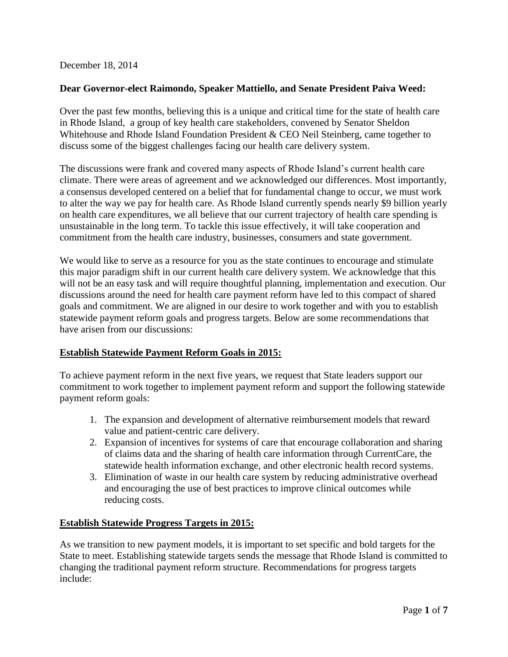December 18, 2014

## **Dear Governor-elect Raimondo, Speaker Mattiello, and Senate President Paiva Weed:**

Over the past few months, believing this is a unique and critical time for the state of health care in Rhode Island, a group of key health care stakeholders, convened by Senator Sheldon Whitehouse and Rhode Island Foundation President & CEO Neil Steinberg, came together to discuss some of the biggest challenges facing our health care delivery system.

The discussions were frank and covered many aspects of Rhode Island's current health care climate. There were areas of agreement and we acknowledged our differences. Most importantly, a consensus developed centered on a belief that for fundamental change to occur, we must work to alter the way we pay for health care. As Rhode Island currently spends nearly \$9 billion yearly on health care expenditures, we all believe that our current trajectory of health care spending is unsustainable in the long term. To tackle this issue effectively, it will take cooperation and commitment from the health care industry, businesses, consumers and state government.

We would like to serve as a resource for you as the state continues to encourage and stimulate this major paradigm shift in our current health care delivery system. We acknowledge that this will not be an easy task and will require thoughtful planning, implementation and execution. Our discussions around the need for health care payment reform have led to this compact of shared goals and commitment. We are aligned in our desire to work together and with you to establish statewide payment reform goals and progress targets. Below are some recommendations that have arisen from our discussions:

# **Establish Statewide Payment Reform Goals in 2015:**

To achieve payment reform in the next five years, we request that State leaders support our commitment to work together to implement payment reform and support the following statewide payment reform goals:

- 1. The expansion and development of alternative reimbursement models that reward value and patient-centric care delivery.
- 2. Expansion of incentives for systems of care that encourage collaboration and sharing of claims data and the sharing of health care information through CurrentCare, the statewide health information exchange, and other electronic health record systems.
- 3. Elimination of waste in our health care system by reducing administrative overhead and encouraging the use of best practices to improve clinical outcomes while reducing costs.

# **Establish Statewide Progress Targets in 2015:**

As we transition to new payment models, it is important to set specific and bold targets for the State to meet. Establishing statewide targets sends the message that Rhode Island is committed to changing the traditional payment reform structure. Recommendations for progress targets include: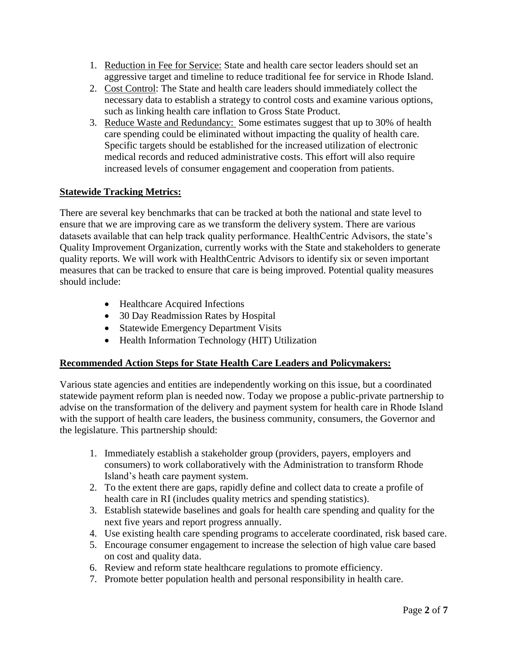- 1. Reduction in Fee for Service: State and health care sector leaders should set an aggressive target and timeline to reduce traditional fee for service in Rhode Island.
- 2. Cost Control: The State and health care leaders should immediately collect the necessary data to establish a strategy to control costs and examine various options, such as linking health care inflation to Gross State Product.
- 3. Reduce Waste and Redundancy: Some estimates suggest that up to 30% of health care spending could be eliminated without impacting the quality of health care. Specific targets should be established for the increased utilization of electronic medical records and reduced administrative costs. This effort will also require increased levels of consumer engagement and cooperation from patients.

### **Statewide Tracking Metrics:**

There are several key benchmarks that can be tracked at both the national and state level to ensure that we are improving care as we transform the delivery system. There are various datasets available that can help track quality performance. HealthCentric Advisors, the state's Quality Improvement Organization, currently works with the State and stakeholders to generate quality reports. We will work with HealthCentric Advisors to identify six or seven important measures that can be tracked to ensure that care is being improved. Potential quality measures should include:

- Healthcare Acquired Infections
- 30 Day Readmission Rates by Hospital
- Statewide Emergency Department Visits
- Health Information Technology (HIT) Utilization

#### **Recommended Action Steps for State Health Care Leaders and Policymakers:**

Various state agencies and entities are independently working on this issue, but a coordinated statewide payment reform plan is needed now. Today we propose a public-private partnership to advise on the transformation of the delivery and payment system for health care in Rhode Island with the support of health care leaders, the business community, consumers, the Governor and the legislature. This partnership should:

- 1. Immediately establish a stakeholder group (providers, payers, employers and consumers) to work collaboratively with the Administration to transform Rhode Island's heath care payment system.
- 2. To the extent there are gaps, rapidly define and collect data to create a profile of health care in RI (includes quality metrics and spending statistics).
- 3. Establish statewide baselines and goals for health care spending and quality for the next five years and report progress annually.
- 4. Use existing health care spending programs to accelerate coordinated, risk based care.
- 5. Encourage consumer engagement to increase the selection of high value care based on cost and quality data.
- 6. Review and reform state healthcare regulations to promote efficiency.
- 7. Promote better population health and personal responsibility in health care.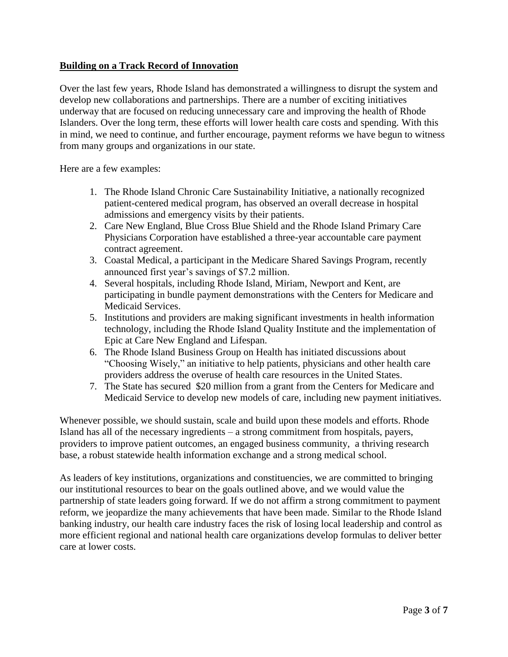# **Building on a Track Record of Innovation**

Over the last few years, Rhode Island has demonstrated a willingness to disrupt the system and develop new collaborations and partnerships. There are a number of exciting initiatives underway that are focused on reducing unnecessary care and improving the health of Rhode Islanders. Over the long term, these efforts will lower health care costs and spending. With this in mind, we need to continue, and further encourage, payment reforms we have begun to witness from many groups and organizations in our state.

Here are a few examples:

- 1. The Rhode Island Chronic Care Sustainability Initiative, a nationally recognized patient-centered medical program, has observed an overall decrease in hospital admissions and emergency visits by their patients.
- 2. Care New England, Blue Cross Blue Shield and the Rhode Island Primary Care Physicians Corporation have established a three-year accountable care payment contract agreement.
- 3. Coastal Medical, a participant in the Medicare Shared Savings Program, recently announced first year's savings of \$7.2 million.
- 4. Several hospitals, including Rhode Island, Miriam, Newport and Kent, are participating in bundle payment demonstrations with the Centers for Medicare and Medicaid Services.
- 5. Institutions and providers are making significant investments in health information technology, including the Rhode Island Quality Institute and the implementation of Epic at Care New England and Lifespan.
- 6. The Rhode Island Business Group on Health has initiated discussions about "Choosing Wisely," an initiative to help patients, physicians and other health care providers address the overuse of health care resources in the United States.
- 7. The State has secured \$20 million from a grant from the Centers for Medicare and Medicaid Service to develop new models of care, including new payment initiatives.

Whenever possible, we should sustain, scale and build upon these models and efforts. Rhode Island has all of the necessary ingredients – a strong commitment from hospitals, payers, providers to improve patient outcomes, an engaged business community, a thriving research base, a robust statewide health information exchange and a strong medical school.

As leaders of key institutions, organizations and constituencies, we are committed to bringing our institutional resources to bear on the goals outlined above, and we would value the partnership of state leaders going forward. If we do not affirm a strong commitment to payment reform, we jeopardize the many achievements that have been made. Similar to the Rhode Island banking industry, our health care industry faces the risk of losing local leadership and control as more efficient regional and national health care organizations develop formulas to deliver better care at lower costs.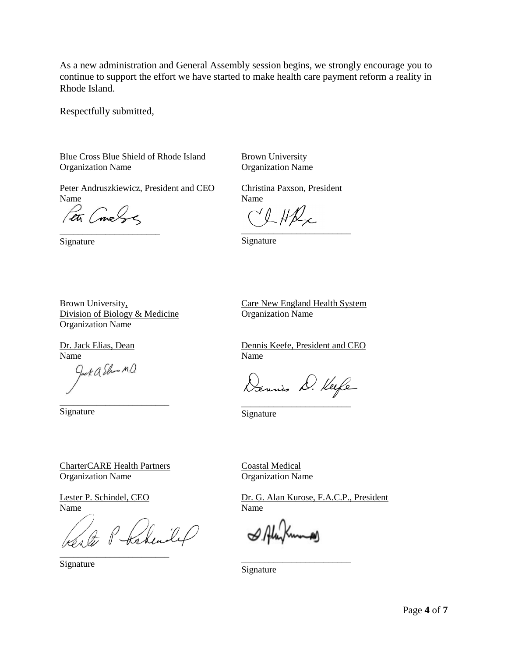As a new administration and General Assembly session begins, we strongly encourage you to continue to support the effort we have started to make health care payment reform a reality in Rhode Island.

Respectfully submitted,

Blue Cross Blue Shield of Rhode Island Organization Name

Peter Andruszkiewicz, President and CEO Name

Pet Coneby \_\_\_\_\_\_\_\_\_\_\_\_\_\_\_\_\_\_\_\_\_\_

Brown University,

Organization Name

Dr. Jack Elias, Dean

Name<br>*Gock Q Show M D*.

Signature

Division of Biology & Medicine

Signature

Brown University Organization Name

Christina Paxson, President Name

CLHR  $\overbrace{\phantom{aaaaa}}^{x}$ 

Signature

Care New England Health System Organization Name

> Dennis Keefe, President and CEO Name

Dennis D. Keefe \_\_\_\_\_\_\_\_\_\_\_\_\_\_\_\_\_\_\_\_\_\_\_\_

Signature

CharterCARE Health Partners Organization Name

\_\_\_\_\_\_\_\_\_\_\_\_\_\_\_\_\_\_\_\_\_\_\_\_

Lester P. Schindel, CEO Name

Ste Phakendel \_\_\_\_\_\_\_\_\_\_\_\_\_\_\_\_\_\_\_\_\_\_\_\_

Signature

Coastal Medical Organization Name

Dr. G. Alan Kurose, F.A.C.P., President Name

\_\_\_\_\_\_\_\_\_\_\_\_\_\_\_\_\_\_\_\_\_\_\_\_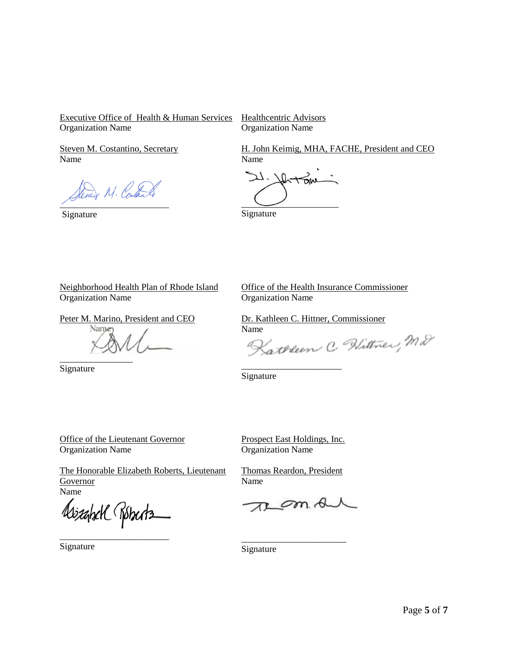Executive Office of Health & Human Services Organization Name

Healthcentric Advisors Organization Name

Steven M. Costantino, Secretary Name

wer M. Contains

Signature

H. John Keimig, MHA, FACHE, President and CEO Name

ひ、 l.

Signature

Neighborhood Health Plan of Rhode Island Organization Name

Peter M. Marino, President and CEO

Name \_\_\_\_\_\_\_\_\_\_\_\_\_\_\_\_

Signature

Office of the Health Insurance Commissioner Organization Name

Dr. Kathleen C. Hittner, Commissioner

Name<br>Kathleen C. Wittner, Md

Signature

Office of the Lieutenant Governor Organization Name

The Honorable Elizabeth Roberts, Lieutenant **Governor** Name

izahxK Róbectz

Prospect East Holdings, Inc. Organization Name

\_\_\_\_\_\_\_\_\_\_\_\_\_\_\_\_\_\_\_\_\_\_

Thomas Reardon, President Name

 $\mathscr{D}m$ . A

\_\_\_\_\_\_\_\_\_\_\_\_\_\_\_\_\_\_\_\_\_\_\_

\_\_\_\_\_\_\_\_\_\_\_\_\_\_\_\_\_\_\_\_\_\_\_\_ Signature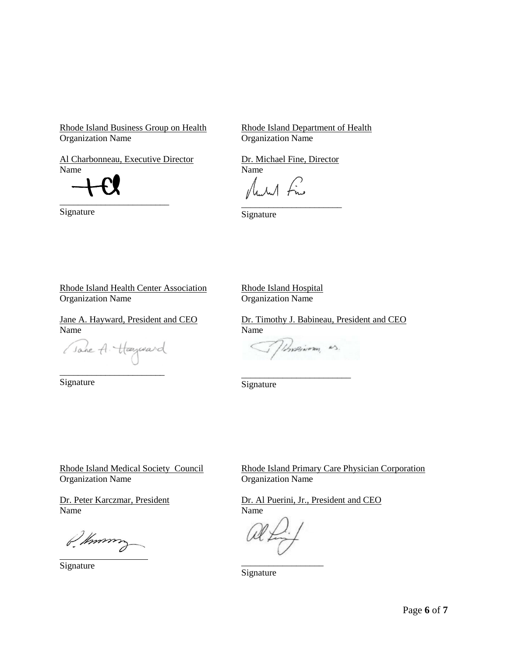Rhode Island Business Group on Health Organization Name

Rhode Island Department of Health Organization Name

Dr. Michael Fine, Director

Aural Fine

Al Charbonneau, Executive Director Name

\_\_\_\_\_\_\_\_\_\_\_\_\_\_\_\_\_\_\_\_\_\_\_\_

Signature

\_\_\_\_\_\_\_\_\_\_\_\_\_\_\_\_\_\_\_\_\_\_ Signature

Name

Rhode Island Health Center Association

Organization Name

Jane A. Hayward, President and CEO Name

(Jane A. Hayward

\_\_\_\_\_\_\_\_\_\_\_\_\_\_\_\_\_\_\_\_\_\_\_ Signature

Rhode Island Hospital Organization Name

Dr. Timothy J. Babineau, President and CEO Name

Unservery as.

\_\_\_\_\_\_\_\_\_\_\_\_\_\_\_\_\_\_\_\_\_\_\_\_

Signature

Rhode Island Medical Society Council Organization Name

Dr. Peter Karczmar, President Name

P. Known

Signature

Rhode Island Primary Care Physician Corporation Organization Name

Dr. Al Puerini, Jr., President and CEO Name

\_\_\_\_\_\_\_\_\_\_\_\_\_\_\_\_\_\_